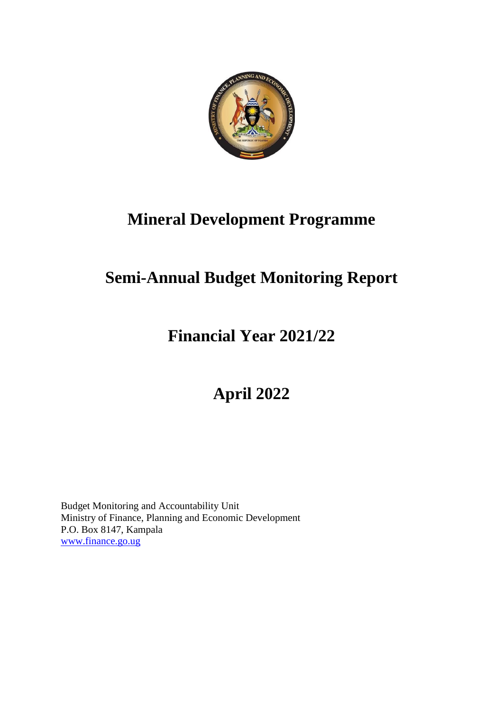

# **Mineral Development Programme**

# **Semi-Annual Budget Monitoring Report**

## **Financial Year 2021/22**

# **April 2022**

Budget Monitoring and Accountability Unit Ministry of Finance, Planning and Economic Development P.O. Box 8147, Kampala www.finance.go.ug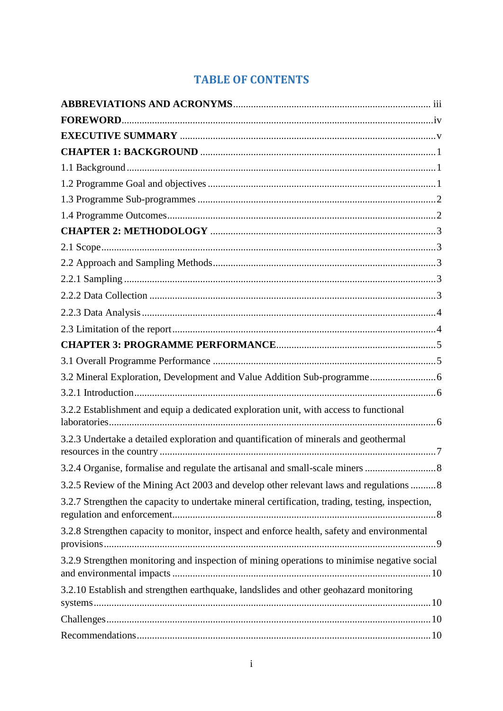## **TABLE OF CONTENTS**

| 3.2.2 Establishment and equip a dedicated exploration unit, with access to functional           |  |
|-------------------------------------------------------------------------------------------------|--|
| 3.2.3 Undertake a detailed exploration and quantification of minerals and geothermal            |  |
| 3.2.4 Organise, formalise and regulate the artisanal and small-scale miners                     |  |
| 3.2.5 Review of the Mining Act 2003 and develop other relevant laws and regulations 8           |  |
| 3.2.7 Strengthen the capacity to undertake mineral certification, trading, testing, inspection, |  |
| 3.2.8 Strengthen capacity to monitor, inspect and enforce health, safety and environmental      |  |
| 3.2.9 Strengthen monitoring and inspection of mining operations to minimise negative social     |  |
| 3.2.10 Establish and strengthen earthquake, landslides and other geohazard monitoring           |  |
|                                                                                                 |  |
|                                                                                                 |  |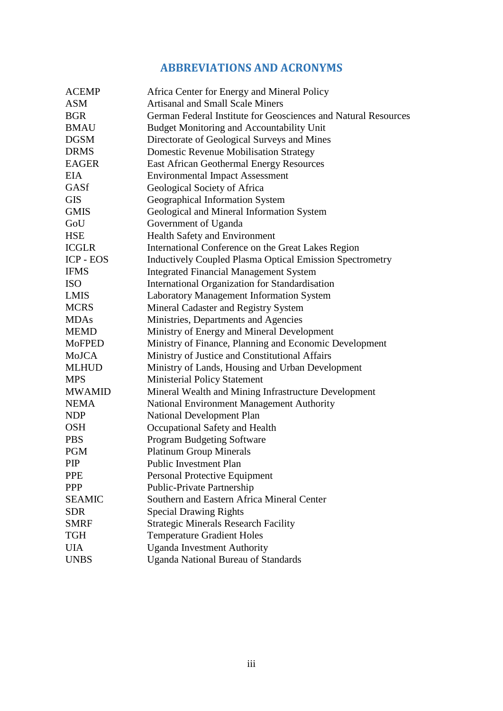## **ABBREVIATIONS AND ACRONYMS**

<span id="page-3-0"></span>

| <b>ACEMP</b>  | Africa Center for Energy and Mineral Policy                     |
|---------------|-----------------------------------------------------------------|
| <b>ASM</b>    | <b>Artisanal and Small Scale Miners</b>                         |
| <b>BGR</b>    | German Federal Institute for Geosciences and Natural Resources  |
| <b>BMAU</b>   | Budget Monitoring and Accountability Unit                       |
| <b>DGSM</b>   | Directorate of Geological Surveys and Mines                     |
| <b>DRMS</b>   | <b>Domestic Revenue Mobilisation Strategy</b>                   |
| EAGER         | <b>East African Geothermal Energy Resources</b>                 |
| <b>EIA</b>    | <b>Environmental Impact Assessment</b>                          |
| GASf          | Geological Society of Africa                                    |
| <b>GIS</b>    | Geographical Information System                                 |
| <b>GMIS</b>   | Geological and Mineral Information System                       |
| GoU           | Government of Uganda                                            |
| <b>HSE</b>    | <b>Health Safety and Environment</b>                            |
| <b>ICGLR</b>  | International Conference on the Great Lakes Region              |
| ICP - EOS     | <b>Inductively Coupled Plasma Optical Emission Spectrometry</b> |
| <b>IFMS</b>   | <b>Integrated Financial Management System</b>                   |
| <b>ISO</b>    | International Organization for Standardisation                  |
| <b>LMIS</b>   | <b>Laboratory Management Information System</b>                 |
| <b>MCRS</b>   | Mineral Cadaster and Registry System                            |
| <b>MDAs</b>   | Ministries, Departments and Agencies                            |
| <b>MEMD</b>   | Ministry of Energy and Mineral Development                      |
| <b>MoFPED</b> | Ministry of Finance, Planning and Economic Development          |
| MoJCA         | Ministry of Justice and Constitutional Affairs                  |
| <b>MLHUD</b>  | Ministry of Lands, Housing and Urban Development                |
| <b>MPS</b>    | <b>Ministerial Policy Statement</b>                             |
| <b>MWAMID</b> | Mineral Wealth and Mining Infrastructure Development            |
| <b>NEMA</b>   | National Environment Management Authority                       |
| <b>NDP</b>    | <b>National Development Plan</b>                                |
| <b>OSH</b>    | Occupational Safety and Health                                  |
| <b>PBS</b>    | <b>Program Budgeting Software</b>                               |
| <b>PGM</b>    | <b>Platinum Group Minerals</b>                                  |
| PIP           | Public Investment Plan                                          |
| <b>PPE</b>    | Personal Protective Equipment                                   |
| <b>PPP</b>    | Public-Private Partnership                                      |
| <b>SEAMIC</b> | Southern and Eastern Africa Mineral Center                      |
| <b>SDR</b>    | <b>Special Drawing Rights</b>                                   |
| <b>SMRF</b>   | <b>Strategic Minerals Research Facility</b>                     |
| <b>TGH</b>    | <b>Temperature Gradient Holes</b>                               |
| <b>UIA</b>    | <b>Uganda Investment Authority</b>                              |
| <b>UNBS</b>   | <b>Uganda National Bureau of Standards</b>                      |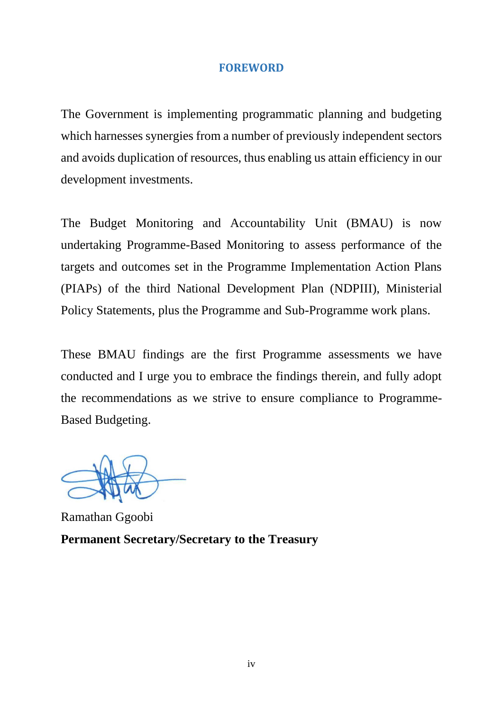## **FOREWORD**

<span id="page-4-0"></span>The Government is implementing programmatic planning and budgeting which harnesses synergies from a number of previously independent sectors and avoids duplication of resources, thus enabling us attain efficiency in our development investments.

The Budget Monitoring and Accountability Unit (BMAU) is now undertaking Programme-Based Monitoring to assess performance of the targets and outcomes set in the Programme Implementation Action Plans (PIAPs) of the third National Development Plan (NDPIII), Ministerial Policy Statements, plus the Programme and Sub-Programme work plans.

These BMAU findings are the first Programme assessments we have conducted and I urge you to embrace the findings therein, and fully adopt the recommendations as we strive to ensure compliance to Programme-Based Budgeting.

Ramathan Ggoobi **Permanent Secretary/Secretary to the Treasury**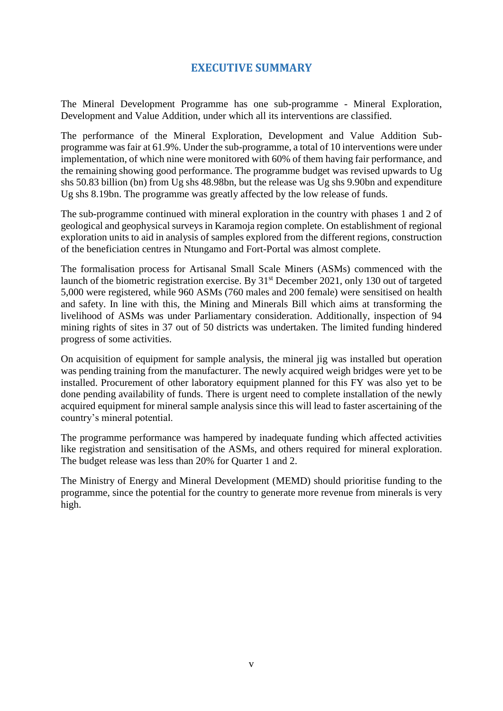## **EXECUTIVE SUMMARY**

<span id="page-5-0"></span>The Mineral Development Programme has one sub-programme - Mineral Exploration, Development and Value Addition, under which all its interventions are classified.

The performance of the Mineral Exploration, Development and Value Addition Subprogramme was fair at 61.9%. Under the sub-programme, a total of 10 interventions were under implementation, of which nine were monitored with 60% of them having fair performance, and the remaining showing good performance. The programme budget was revised upwards to Ug shs 50.83 billion (bn) from Ug shs 48.98bn, but the release was Ug shs 9.90bn and expenditure Ug shs 8.19bn. The programme was greatly affected by the low release of funds.

The sub-programme continued with mineral exploration in the country with phases 1 and 2 of geological and geophysical surveys in Karamoja region complete. On establishment of regional exploration units to aid in analysis of samples explored from the different regions, construction of the beneficiation centres in Ntungamo and Fort-Portal was almost complete.

The formalisation process for Artisanal Small Scale Miners (ASMs) commenced with the launch of the biometric registration exercise. By 31<sup>st</sup> December 2021, only 130 out of targeted 5,000 were registered, while 960 ASMs (760 males and 200 female) were sensitised on health and safety. In line with this, the Mining and Minerals Bill which aims at transforming the livelihood of ASMs was under Parliamentary consideration. Additionally, inspection of 94 mining rights of sites in 37 out of 50 districts was undertaken. The limited funding hindered progress of some activities.

On acquisition of equipment for sample analysis, the mineral jig was installed but operation was pending training from the manufacturer. The newly acquired weigh bridges were yet to be installed. Procurement of other laboratory equipment planned for this FY was also yet to be done pending availability of funds. There is urgent need to complete installation of the newly acquired equipment for mineral sample analysis since this will lead to faster ascertaining of the country's mineral potential.

The programme performance was hampered by inadequate funding which affected activities like registration and sensitisation of the ASMs, and others required for mineral exploration. The budget release was less than 20% for Quarter 1 and 2.

The Ministry of Energy and Mineral Development (MEMD) should prioritise funding to the programme, since the potential for the country to generate more revenue from minerals is very high.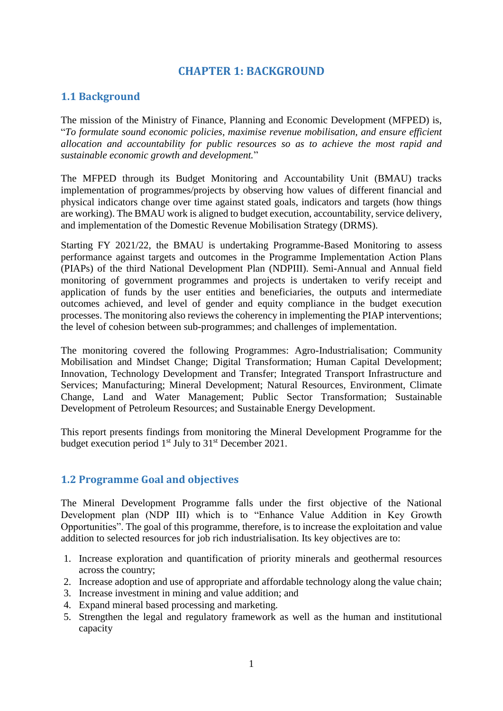## **CHAPTER 1: BACKGROUND**

## <span id="page-6-1"></span><span id="page-6-0"></span>**1.1 Background**

The mission of the Ministry of Finance, Planning and Economic Development (MFPED) is, "*To formulate sound economic policies, maximise revenue mobilisation, and ensure efficient allocation and accountability for public resources so as to achieve the most rapid and sustainable economic growth and development.*"

The MFPED through its Budget Monitoring and Accountability Unit (BMAU) tracks implementation of programmes/projects by observing how values of different financial and physical indicators change over time against stated goals, indicators and targets (how things are working). The BMAU work is aligned to budget execution, accountability, service delivery, and implementation of the Domestic Revenue Mobilisation Strategy (DRMS).

Starting FY 2021/22, the BMAU is undertaking Programme-Based Monitoring to assess performance against targets and outcomes in the Programme Implementation Action Plans (PIAPs) of the third National Development Plan (NDPIII). Semi-Annual and Annual field monitoring of government programmes and projects is undertaken to verify receipt and application of funds by the user entities and beneficiaries, the outputs and intermediate outcomes achieved, and level of gender and equity compliance in the budget execution processes. The monitoring also reviews the coherency in implementing the PIAP interventions; the level of cohesion between sub-programmes; and challenges of implementation.

The monitoring covered the following Programmes: Agro-Industrialisation; Community Mobilisation and Mindset Change; Digital Transformation; Human Capital Development; Innovation, Technology Development and Transfer; Integrated Transport Infrastructure and Services; Manufacturing; Mineral Development; Natural Resources, Environment, Climate Change, Land and Water Management; Public Sector Transformation; Sustainable Development of Petroleum Resources; and Sustainable Energy Development.

This report presents findings from monitoring the Mineral Development Programme for the budget execution period  $1<sup>st</sup>$  July to  $31<sup>st</sup>$  December 2021.

## <span id="page-6-2"></span>**1.2 Programme Goal and objectives**

The Mineral Development Programme falls under the first objective of the National Development plan (NDP III) which is to "Enhance Value Addition in Key Growth Opportunities". The goal of this programme, therefore, is to increase the exploitation and value addition to selected resources for job rich industrialisation. Its key objectives are to:

- 1. Increase exploration and quantification of priority minerals and geothermal resources across the country;
- 2. Increase adoption and use of appropriate and affordable technology along the value chain;
- 3. Increase investment in mining and value addition; and
- 4. Expand mineral based processing and marketing.
- 5. Strengthen the legal and regulatory framework as well as the human and institutional capacity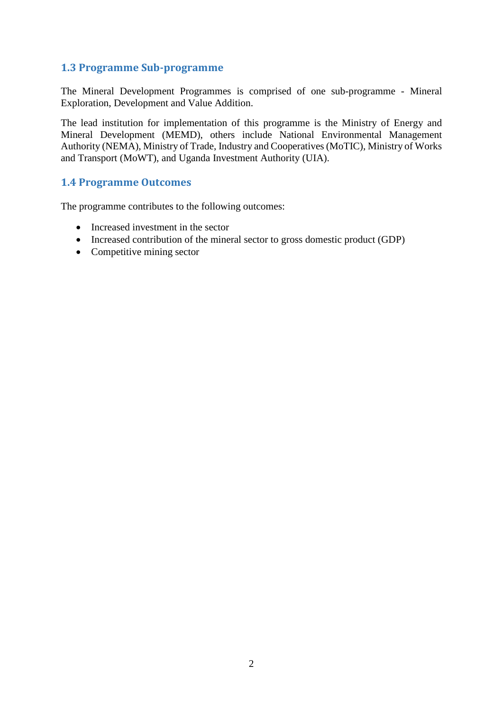## <span id="page-7-0"></span>**1.3 Programme Sub-programme**

The Mineral Development Programmes is comprised of one sub-programme - Mineral Exploration, Development and Value Addition.

The lead institution for implementation of this programme is the Ministry of Energy and Mineral Development (MEMD), others include National Environmental Management Authority (NEMA), Ministry of Trade, Industry and Cooperatives (MoTIC), Ministry of Works and Transport (MoWT), and Uganda Investment Authority (UIA).

#### <span id="page-7-1"></span>**1.4 Programme Outcomes**

The programme contributes to the following outcomes:

- Increased investment in the sector
- Increased contribution of the mineral sector to gross domestic product (GDP)
- Competitive mining sector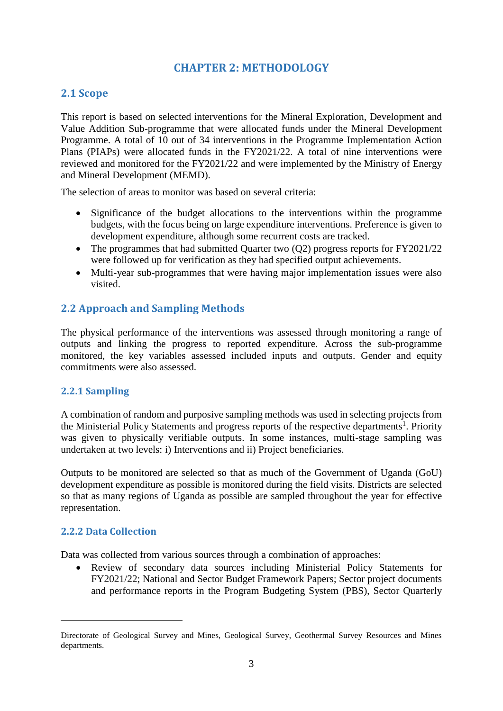## **CHAPTER 2: METHODOLOGY**

## <span id="page-8-1"></span><span id="page-8-0"></span>**2.1 Scope**

This report is based on selected interventions for the Mineral Exploration, Development and Value Addition Sub-programme that were allocated funds under the Mineral Development Programme. A total of 10 out of 34 interventions in the Programme Implementation Action Plans (PIAPs) were allocated funds in the FY2021/22. A total of nine interventions were reviewed and monitored for the FY2021/22 and were implemented by the Ministry of Energy and Mineral Development (MEMD).

The selection of areas to monitor was based on several criteria:

- Significance of the budget allocations to the interventions within the programme budgets, with the focus being on large expenditure interventions. Preference is given to development expenditure, although some recurrent costs are tracked.
- The programmes that had submitted Quarter two (Q2) progress reports for FY2021/22 were followed up for verification as they had specified output achievements.
- Multi-year sub-programmes that were having major implementation issues were also visited.

## <span id="page-8-2"></span>**2.2 Approach and Sampling Methods**

The physical performance of the interventions was assessed through monitoring a range of outputs and linking the progress to reported expenditure. Across the sub-programme monitored, the key variables assessed included inputs and outputs. Gender and equity commitments were also assessed.

### <span id="page-8-3"></span>**2.2.1 Sampling**

A combination of random and purposive sampling methods was used in selecting projects from the Ministerial Policy Statements and progress reports of the respective departments<sup>1</sup>. Priority was given to physically verifiable outputs. In some instances, multi-stage sampling was undertaken at two levels: i) Interventions and ii) Project beneficiaries.

Outputs to be monitored are selected so that as much of the Government of Uganda (GoU) development expenditure as possible is monitored during the field visits. Districts are selected so that as many regions of Uganda as possible are sampled throughout the year for effective representation.

### <span id="page-8-4"></span>**2.2.2 Data Collection**

<u>.</u>

Data was collected from various sources through a combination of approaches:

 Review of secondary data sources including Ministerial Policy Statements for FY2021/22; National and Sector Budget Framework Papers; Sector project documents and performance reports in the Program Budgeting System (PBS), Sector Quarterly

Directorate of Geological Survey and Mines, Geological Survey, Geothermal Survey Resources and Mines departments.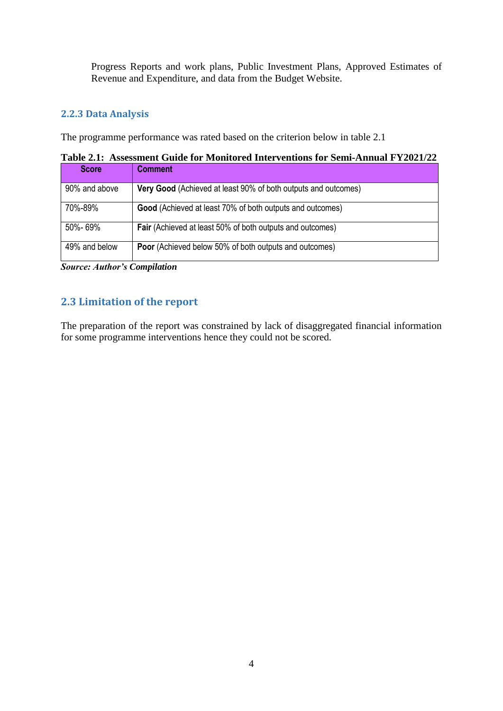Progress Reports and work plans, Public Investment Plans, Approved Estimates of Revenue and Expenditure, and data from the Budget Website.

## <span id="page-9-0"></span>**2.2.3 Data Analysis**

The programme performance was rated based on the criterion below in table 2.1

**Table 2.1: Assessment Guide for Monitored Interventions for Semi-Annual FY2021/22**

| <b>Score</b>  | <b>Comment</b>                                                   |
|---------------|------------------------------------------------------------------|
| 90% and above | Very Good (Achieved at least 90% of both outputs and outcomes)   |
| 70%-89%       | Good (Achieved at least 70% of both outputs and outcomes)        |
| 50%-69%       | <b>Fair</b> (Achieved at least 50% of both outputs and outcomes) |
| 49% and below | <b>Poor</b> (Achieved below 50% of both outputs and outcomes)    |

*Source: Author's Compilation*

## <span id="page-9-1"></span>**2.3 Limitation of the report**

The preparation of the report was constrained by lack of disaggregated financial information for some programme interventions hence they could not be scored.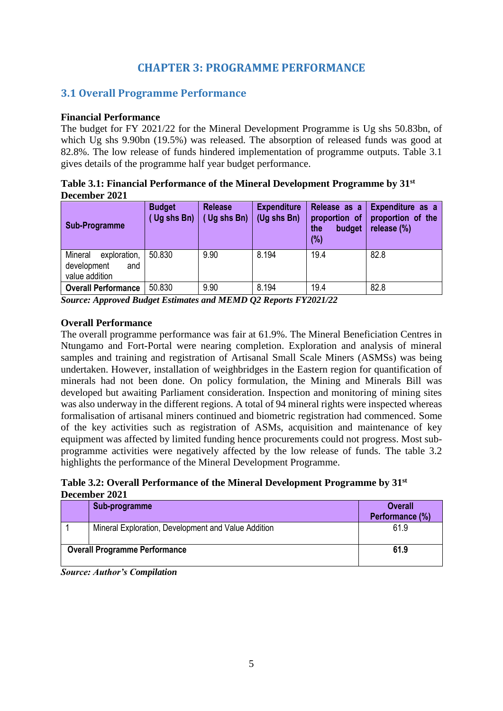## **CHAPTER 3: PROGRAMME PERFORMANCE**

## <span id="page-10-1"></span><span id="page-10-0"></span>**3.1 Overall Programme Performance**

#### **Financial Performance**

The budget for FY 2021/22 for the Mineral Development Programme is Ug shs 50.83bn, of which Ug shs 9.90bn (19.5%) was released. The absorption of released funds was good at 82.8%. The low release of funds hindered implementation of programme outputs. Table 3.1 gives details of the programme half year budget performance.

**Table 3.1: Financial Performance of the Mineral Development Programme by 31st December 2021**

| <b>Sub-Programme</b>                                            | <b>Budget</b><br>Ug shs Bn) | <b>Release</b><br>Ug shs Bn) | <b>Expenditure</b><br>(Ug shs Bn) | Release as a<br>proportion of<br>budget<br>the<br>(%) | Expenditure as a<br>proportion of the<br>release (%) |  |
|-----------------------------------------------------------------|-----------------------------|------------------------------|-----------------------------------|-------------------------------------------------------|------------------------------------------------------|--|
| Mineral<br>exploration,<br>development<br>and<br>value addition | 50.830                      | 9.90                         | 8.194                             | 19.4                                                  | 82.8                                                 |  |
| <b>Overall Performance</b>                                      | 50.830                      | 9.90                         | 8.194                             | 19.4                                                  | 82.8                                                 |  |

*Source: Approved Budget Estimates and MEMD Q2 Reports FY2021/22*

### **Overall Performance**

The overall programme performance was fair at 61.9%. The Mineral Beneficiation Centres in Ntungamo and Fort-Portal were nearing completion. Exploration and analysis of mineral samples and training and registration of Artisanal Small Scale Miners (ASMSs) was being undertaken. However, installation of weighbridges in the Eastern region for quantification of minerals had not been done. On policy formulation, the Mining and Minerals Bill was developed but awaiting Parliament consideration. Inspection and monitoring of mining sites was also underway in the different regions. A total of 94 mineral rights were inspected whereas formalisation of artisanal miners continued and biometric registration had commenced. Some of the key activities such as registration of ASMs, acquisition and maintenance of key equipment was affected by limited funding hence procurements could not progress. Most subprogramme activities were negatively affected by the low release of funds. The table 3.2 highlights the performance of the Mineral Development Programme.

**Table 3.2: Overall Performance of the Mineral Development Programme by 31st December 2021**

| Sub-programme                                       | <b>Overall</b><br>Performance (%) |
|-----------------------------------------------------|-----------------------------------|
| Mineral Exploration, Development and Value Addition | 61.9                              |
| <b>Overall Programme Performance</b>                | 61.9                              |

*Source: Author's Compilation*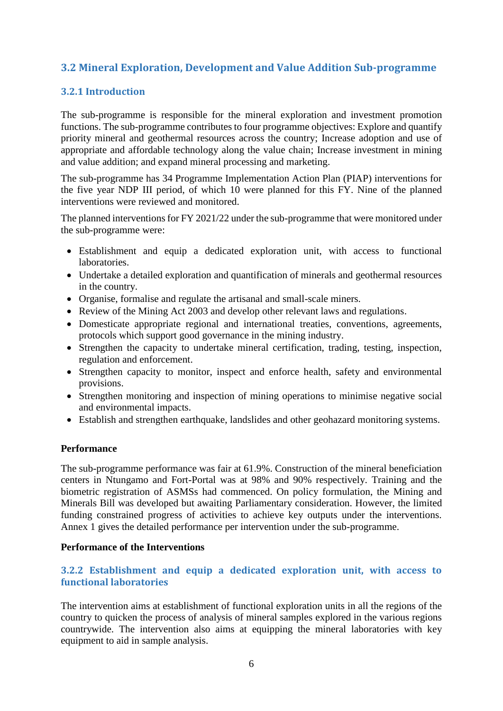## <span id="page-11-0"></span>**3.2 Mineral Exploration, Development and Value Addition Sub-programme**

## <span id="page-11-1"></span>**3.2.1 Introduction**

The sub-programme is responsible for the mineral exploration and investment promotion functions. The sub-programme contributes to four programme objectives: Explore and quantify priority mineral and geothermal resources across the country; Increase adoption and use of appropriate and affordable technology along the value chain; Increase investment in mining and value addition; and expand mineral processing and marketing.

The sub-programme has 34 Programme Implementation Action Plan (PIAP) interventions for the five year NDP III period, of which 10 were planned for this FY. Nine of the planned interventions were reviewed and monitored.

The planned interventions for FY 2021/22 under the sub-programme that were monitored under the sub-programme were:

- Establishment and equip a dedicated exploration unit, with access to functional laboratories.
- Undertake a detailed exploration and quantification of minerals and geothermal resources in the country.
- Organise, formalise and regulate the artisanal and small-scale miners.
- Review of the Mining Act 2003 and develop other relevant laws and regulations.
- Domesticate appropriate regional and international treaties, conventions, agreements, protocols which support good governance in the mining industry.
- Strengthen the capacity to undertake mineral certification, trading, testing, inspection, regulation and enforcement.
- Strengthen capacity to monitor, inspect and enforce health, safety and environmental provisions.
- Strengthen monitoring and inspection of mining operations to minimise negative social and environmental impacts.
- Establish and strengthen earthquake, landslides and other geohazard monitoring systems.

#### **Performance**

The sub-programme performance was fair at 61.9%. Construction of the mineral beneficiation centers in Ntungamo and Fort-Portal was at 98% and 90% respectively. Training and the biometric registration of ASMSs had commenced. On policy formulation, the Mining and Minerals Bill was developed but awaiting Parliamentary consideration. However, the limited funding constrained progress of activities to achieve key outputs under the interventions. Annex 1 gives the detailed performance per intervention under the sub-programme.

#### **Performance of the Interventions**

### <span id="page-11-2"></span>**3.2.2 Establishment and equip a dedicated exploration unit, with access to functional laboratories**

The intervention aims at establishment of functional exploration units in all the regions of the country to quicken the process of analysis of mineral samples explored in the various regions countrywide. The intervention also aims at equipping the mineral laboratories with key equipment to aid in sample analysis.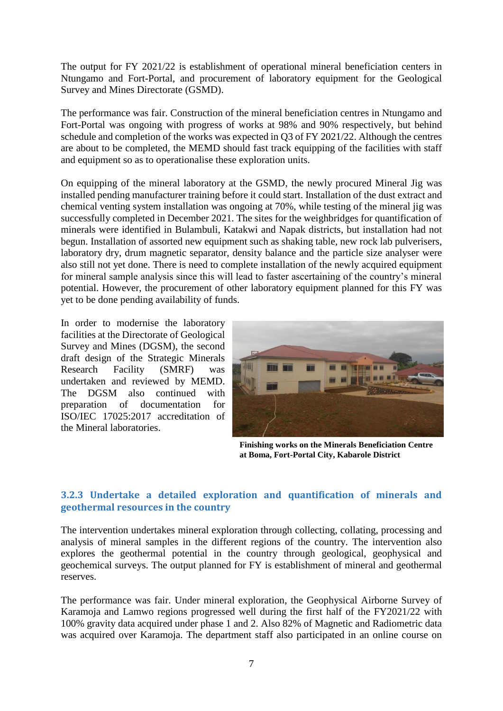The output for FY 2021/22 is establishment of operational mineral beneficiation centers in Ntungamo and Fort-Portal, and procurement of laboratory equipment for the Geological Survey and Mines Directorate (GSMD).

The performance was fair. Construction of the mineral beneficiation centres in Ntungamo and Fort-Portal was ongoing with progress of works at 98% and 90% respectively, but behind schedule and completion of the works was expected in Q3 of FY 2021/22. Although the centres are about to be completed, the MEMD should fast track equipping of the facilities with staff and equipment so as to operationalise these exploration units.

On equipping of the mineral laboratory at the GSMD, the newly procured Mineral Jig was installed pending manufacturer training before it could start. Installation of the dust extract and chemical venting system installation was ongoing at 70%, while testing of the mineral jig was successfully completed in December 2021. The sites for the weighbridges for quantification of minerals were identified in Bulambuli, Katakwi and Napak districts, but installation had not begun. Installation of assorted new equipment such as shaking table, new rock lab pulverisers, laboratory dry, drum magnetic separator, density balance and the particle size analyser were also still not yet done. There is need to complete installation of the newly acquired equipment for mineral sample analysis since this will lead to faster ascertaining of the country's mineral potential. However, the procurement of other laboratory equipment planned for this FY was yet to be done pending availability of funds.

In order to modernise the laboratory facilities at the Directorate of Geological Survey and Mines (DGSM), the second draft design of the Strategic Minerals Research Facility (SMRF) was undertaken and reviewed by MEMD. The DGSM also continued with preparation of documentation for ISO/IEC 17025:2017 accreditation of the Mineral laboratories.



**Finishing works on the Minerals Beneficiation Centre at Boma, Fort-Portal City, Kabarole District** 

## <span id="page-12-0"></span>**3.2.3 Undertake a detailed exploration and quantification of minerals and geothermal resources in the country**

The intervention undertakes mineral exploration through collecting, collating, processing and analysis of mineral samples in the different regions of the country. The intervention also explores the geothermal potential in the country through geological, geophysical and geochemical surveys. The output planned for FY is establishment of mineral and geothermal reserves.

The performance was fair. Under mineral exploration, the Geophysical Airborne Survey of Karamoja and Lamwo regions progressed well during the first half of the FY2021/22 with 100% gravity data acquired under phase 1 and 2. Also 82% of Magnetic and Radiometric data was acquired over Karamoja. The department staff also participated in an online course on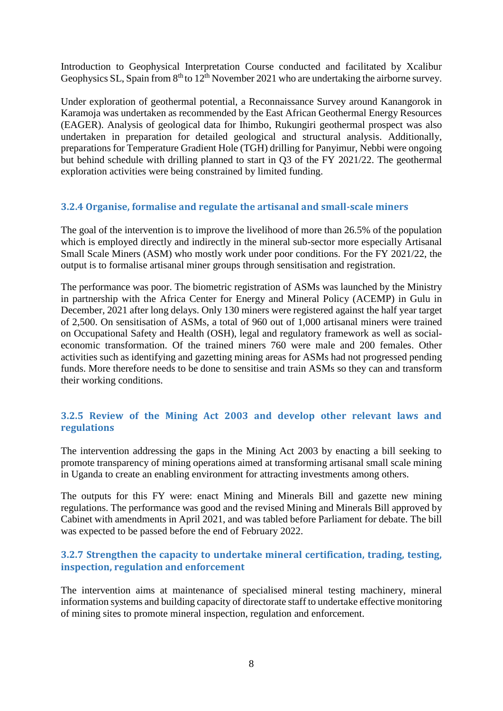Introduction to Geophysical Interpretation Course conducted and facilitated by Xcalibur Geophysics SL, Spain from  $8<sup>th</sup>$  to  $12<sup>th</sup>$  November 2021 who are undertaking the airborne survey.

Under exploration of geothermal potential, a Reconnaissance Survey around Kanangorok in Karamoja was undertaken as recommended by the East African Geothermal Energy Resources (EAGER). Analysis of geological data for Ihimbo, Rukungiri geothermal prospect was also undertaken in preparation for detailed geological and structural analysis. Additionally, preparations for Temperature Gradient Hole (TGH) drilling for Panyimur, Nebbi were ongoing but behind schedule with drilling planned to start in Q3 of the FY 2021/22. The geothermal exploration activities were being constrained by limited funding.

### <span id="page-13-0"></span>**3.2.4 Organise, formalise and regulate the artisanal and small-scale miners**

The goal of the intervention is to improve the livelihood of more than 26.5% of the population which is employed directly and indirectly in the mineral sub-sector more especially Artisanal Small Scale Miners (ASM) who mostly work under poor conditions. For the FY 2021/22, the output is to formalise artisanal miner groups through sensitisation and registration.

The performance was poor. The biometric registration of ASMs was launched by the Ministry in partnership with the Africa Center for Energy and Mineral Policy (ACEMP) in Gulu in December, 2021 after long delays. Only 130 miners were registered against the half year target of 2,500. On sensitisation of ASMs, a total of 960 out of 1,000 artisanal miners were trained on Occupational Safety and Health (OSH), legal and regulatory framework as well as socialeconomic transformation. Of the trained miners 760 were male and 200 females. Other activities such as identifying and gazetting mining areas for ASMs had not progressed pending funds. More therefore needs to be done to sensitise and train ASMs so they can and transform their working conditions.

## <span id="page-13-1"></span>**3.2.5 Review of the Mining Act 2003 and develop other relevant laws and regulations**

The intervention addressing the gaps in the Mining Act 2003 by enacting a bill seeking to promote transparency of mining operations aimed at transforming artisanal small scale mining in Uganda to create an enabling environment for attracting investments among others.

The outputs for this FY were: enact Mining and Minerals Bill and gazette new mining regulations. The performance was good and the revised Mining and Minerals Bill approved by Cabinet with amendments in April 2021, and was tabled before Parliament for debate. The bill was expected to be passed before the end of February 2022.

### <span id="page-13-2"></span>**3.2.7 Strengthen the capacity to undertake mineral certification, trading, testing, inspection, regulation and enforcement**

The intervention aims at maintenance of specialised mineral testing machinery, mineral information systems and building capacity of directorate staff to undertake effective monitoring of mining sites to promote mineral inspection, regulation and enforcement.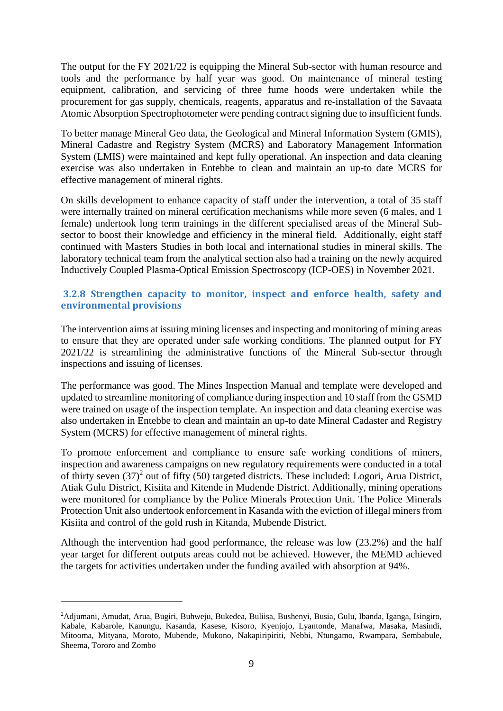The output for the FY 2021/22 is equipping the Mineral Sub-sector with human resource and tools and the performance by half year was good. On maintenance of mineral testing equipment, calibration, and servicing of three fume hoods were undertaken while the procurement for gas supply, chemicals, reagents, apparatus and re-installation of the Savaata Atomic Absorption Spectrophotometer were pending contract signing due to insufficient funds.

To better manage Mineral Geo data, the Geological and Mineral Information System (GMIS), Mineral Cadastre and Registry System (MCRS) and Laboratory Management Information System (LMIS) were maintained and kept fully operational. An inspection and data cleaning exercise was also undertaken in Entebbe to clean and maintain an up-to date MCRS for effective management of mineral rights.

On skills development to enhance capacity of staff under the intervention, a total of 35 staff were internally trained on mineral certification mechanisms while more seven (6 males, and 1 female) undertook long term trainings in the different specialised areas of the Mineral Subsector to boost their knowledge and efficiency in the mineral field. Additionally, eight staff continued with Masters Studies in both local and international studies in mineral skills. The laboratory technical team from the analytical section also had a training on the newly acquired Inductively Coupled Plasma-Optical Emission Spectroscopy (ICP-OES) in November 2021.

### <span id="page-14-0"></span>**3.2.8 Strengthen capacity to monitor, inspect and enforce health, safety and environmental provisions**

The intervention aims at issuing mining licenses and inspecting and monitoring of mining areas to ensure that they are operated under safe working conditions. The planned output for FY 2021/22 is streamlining the administrative functions of the Mineral Sub-sector through inspections and issuing of licenses.

The performance was good. The Mines Inspection Manual and template were developed and updated to streamline monitoring of compliance during inspection and 10 staff from the GSMD were trained on usage of the inspection template. An inspection and data cleaning exercise was also undertaken in Entebbe to clean and maintain an up-to date Mineral Cadaster and Registry System (MCRS) for effective management of mineral rights.

To promote enforcement and compliance to ensure safe working conditions of miners, inspection and awareness campaigns on new regulatory requirements were conducted in a total of thirty seven  $(37)^2$  out of fifty (50) targeted districts. These included: Logori, Arua District, Atiak Gulu District, Kisiita and Kitende in Mudende District. Additionally, mining operations were monitored for compliance by the Police Minerals Protection Unit. The Police Minerals Protection Unit also undertook enforcement in Kasanda with the eviction of illegal miners from Kisiita and control of the gold rush in Kitanda, Mubende District.

Although the intervention had good performance, the release was low (23.2%) and the half year target for different outputs areas could not be achieved. However, the MEMD achieved the targets for activities undertaken under the funding availed with absorption at 94%.

1

<sup>2</sup>Adjumani, Amudat, Arua, Bugiri, Buhweju, Bukedea, Buliisa, Bushenyi, Busia, Gulu, Ibanda, Iganga, Isingiro, Kabale, Kabarole, Kanungu, Kasanda, Kasese, Kisoro, Kyenjojo, Lyantonde, Manafwa, Masaka, Masindi, Mitooma, Mityana, Moroto, Mubende, Mukono, Nakapiripiriti, Nebbi, Ntungamo, Rwampara, Sembabule, Sheema, Tororo and Zombo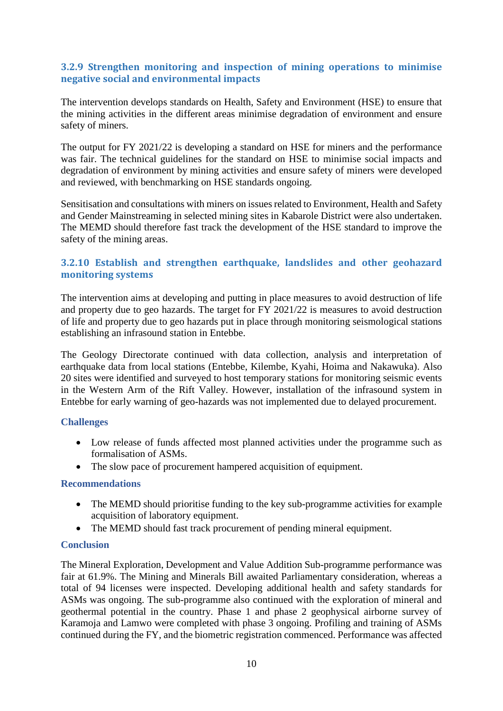### <span id="page-15-0"></span>**3.2.9 Strengthen monitoring and inspection of mining operations to minimise negative social and environmental impacts**

The intervention develops standards on Health, Safety and Environment (HSE) to ensure that the mining activities in the different areas minimise degradation of environment and ensure safety of miners.

The output for FY 2021/22 is developing a standard on HSE for miners and the performance was fair. The technical guidelines for the standard on HSE to minimise social impacts and degradation of environment by mining activities and ensure safety of miners were developed and reviewed, with benchmarking on HSE standards ongoing.

Sensitisation and consultations with miners on issues related to Environment, Health and Safety and Gender Mainstreaming in selected mining sites in Kabarole District were also undertaken. The MEMD should therefore fast track the development of the HSE standard to improve the safety of the mining areas.

### <span id="page-15-1"></span>**3.2.10 Establish and strengthen earthquake, landslides and other geohazard monitoring systems**

The intervention aims at developing and putting in place measures to avoid destruction of life and property due to geo hazards. The target for FY 2021/22 is measures to avoid destruction of life and property due to geo hazards put in place through monitoring seismological stations establishing an infrasound station in Entebbe.

The Geology Directorate continued with data collection, analysis and interpretation of earthquake data from local stations (Entebbe, Kilembe, Kyahi, Hoima and Nakawuka). Also 20 sites were identified and surveyed to host temporary stations for monitoring seismic events in the Western Arm of the Rift Valley. However, installation of the infrasound system in Entebbe for early warning of geo-hazards was not implemented due to delayed procurement.

### <span id="page-15-2"></span>**Challenges**

- Low release of funds affected most planned activities under the programme such as formalisation of ASMs.
- The slow pace of procurement hampered acquisition of equipment.

#### <span id="page-15-3"></span>**Recommendations**

- The MEMD should prioritise funding to the key sub-programme activities for example acquisition of laboratory equipment.
- The MEMD should fast track procurement of pending mineral equipment.

### <span id="page-15-4"></span>**Conclusion**

The Mineral Exploration, Development and Value Addition Sub-programme performance was fair at 61.9%. The Mining and Minerals Bill awaited Parliamentary consideration, whereas a total of 94 licenses were inspected. Developing additional health and safety standards for ASMs was ongoing. The sub-programme also continued with the exploration of mineral and geothermal potential in the country. Phase 1 and phase 2 geophysical airborne survey of Karamoja and Lamwo were completed with phase 3 ongoing. Profiling and training of ASMs continued during the FY, and the biometric registration commenced. Performance was affected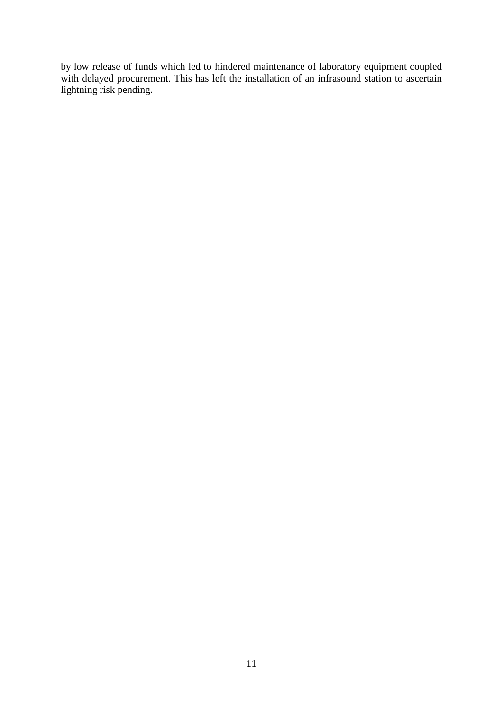by low release of funds which led to hindered maintenance of laboratory equipment coupled with delayed procurement. This has left the installation of an infrasound station to ascertain lightning risk pending.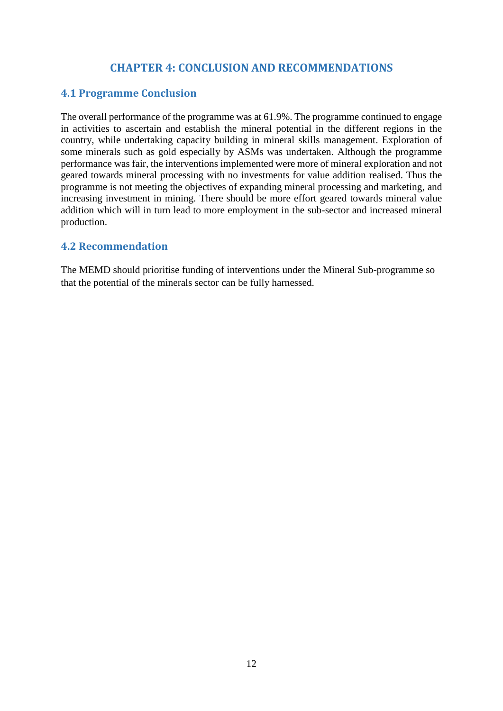## **CHAPTER 4: CONCLUSION AND RECOMMENDATIONS**

## <span id="page-17-1"></span><span id="page-17-0"></span>**4.1 Programme Conclusion**

The overall performance of the programme was at 61.9%. The programme continued to engage in activities to ascertain and establish the mineral potential in the different regions in the country, while undertaking capacity building in mineral skills management. Exploration of some minerals such as gold especially by ASMs was undertaken. Although the programme performance was fair, the interventions implemented were more of mineral exploration and not geared towards mineral processing with no investments for value addition realised. Thus the programme is not meeting the objectives of expanding mineral processing and marketing, and increasing investment in mining. There should be more effort geared towards mineral value addition which will in turn lead to more employment in the sub-sector and increased mineral production.

## <span id="page-17-2"></span>**4.2 Recommendation**

The MEMD should prioritise funding of interventions under the Mineral Sub-programme so that the potential of the minerals sector can be fully harnessed.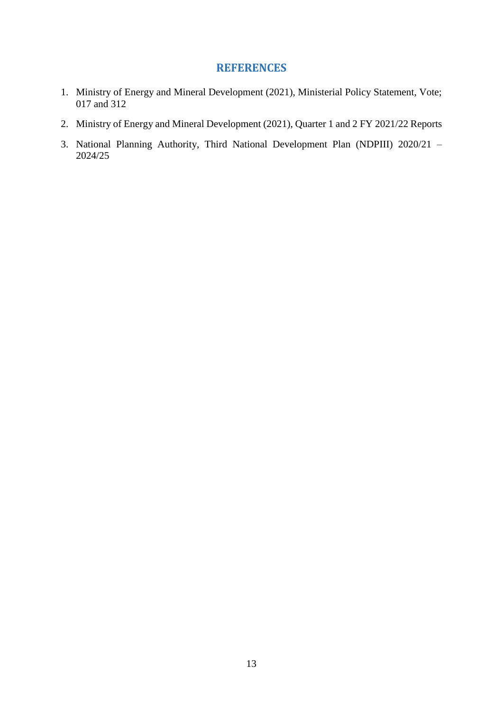## **REFERENCES**

- <span id="page-18-0"></span>1. Ministry of Energy and Mineral Development (2021), Ministerial Policy Statement, Vote; 017 and 312
- 2. Ministry of Energy and Mineral Development (2021), Quarter 1 and 2 FY 2021/22 Reports
- 3. National Planning Authority, Third National Development Plan (NDPIII) 2020/21 2024/25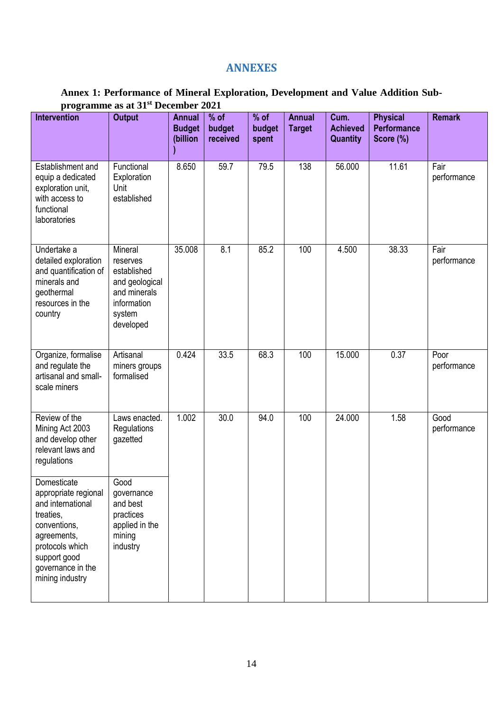## **ANNEXES**

## <span id="page-19-0"></span>**Annex 1: Performance of Mineral Exploration, Development and Value Addition Subprogramme as at 31st December 2021**

| Intervention                                                                                                                                                                    | <b>Output</b>                                                                                              | <b>Annual</b><br><b>Budget</b><br>(billion | % of<br>budget<br>received | $%$ of<br>budget<br>spent | <b>Annual</b><br><b>Target</b> | Cum.<br><b>Achieved</b><br><b>Quantity</b> | <b>Physical</b><br><b>Performance</b><br>Score (%) | <b>Remark</b>       |
|---------------------------------------------------------------------------------------------------------------------------------------------------------------------------------|------------------------------------------------------------------------------------------------------------|--------------------------------------------|----------------------------|---------------------------|--------------------------------|--------------------------------------------|----------------------------------------------------|---------------------|
| Establishment and<br>equip a dedicated<br>exploration unit,<br>with access to<br>functional<br>laboratories                                                                     | Functional<br>Exploration<br>Unit<br>established                                                           | 8.650                                      | 59.7                       | 79.5                      | 138                            | 56.000                                     | 11.61                                              | Fair<br>performance |
| Undertake a<br>detailed exploration<br>and quantification of<br>minerals and<br>geothermal<br>resources in the<br>country                                                       | Mineral<br>reserves<br>established<br>and geological<br>and minerals<br>information<br>system<br>developed | 35.008                                     | 8.1                        | 85.2                      | 100                            | 4.500                                      | 38.33                                              | Fair<br>performance |
| Organize, formalise<br>and regulate the<br>artisanal and small-<br>scale miners                                                                                                 | Artisanal<br>miners groups<br>formalised                                                                   | 0.424                                      | 33.5                       | 68.3                      | 100                            | 15.000                                     | 0.37                                               | Poor<br>performance |
| Review of the<br>Mining Act 2003<br>and develop other<br>relevant laws and<br>regulations                                                                                       | Laws enacted.<br>Regulations<br>gazetted                                                                   | 1.002                                      | 30.0                       | 94.0                      | 100                            | 24.000                                     | 1.58                                               | Good<br>performance |
| Domesticate<br>appropriate regional<br>and international<br>treaties,<br>conventions,<br>agreements,<br>protocols which<br>support good<br>governance in the<br>mining industry | Good<br>governance<br>and best<br>practices<br>applied in the<br>mining<br>industry                        |                                            |                            |                           |                                |                                            |                                                    |                     |